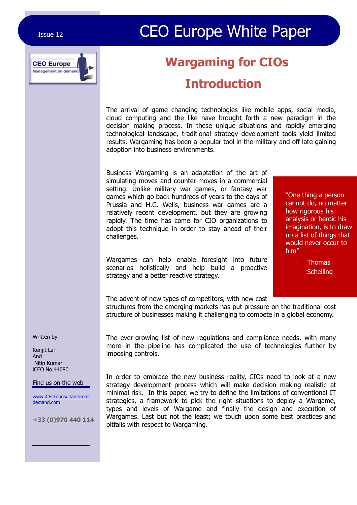# Issue 12 **CEO Europe White Paper**



# **Wargaming for CIOs**

### **Introduction**

The arrival of game changing technologies like mobile apps, social media, cloud computing and the like have brought forth a new paradigm in the decision making process. In these unique situations and rapidly emerging technological landscape, traditional strategy development tools yield limited results. Wargaming has been a popular tool in the military and off late gaining adoption into business environments.

Business Wargaming is an adaptation of the art of simulating moves and counter-moves in a commercial setting. Unlike military war games, or fantasy war games which go back hundreds of years to the days of Prussia and H.G. Wells, business war games are a relatively recent development, but they are growing rapidly. The time has come for CIO organizations to adopt this technique in order to stay ahead of their challenges.

"One thing a person cannot do, no matter how rigorous his analysis or heroic his imagination, is to draw up a list of things that would never occur to him"

Wargames can help enable foresight into future scenarios holistically and help build a proactive strategy and a better reactive strategy.

**Thomas Schelling** 

The advent of new types of competitors, with new cost structures from the emerging markets has put pressure on the traditional cost structure of businesses making it challenging to compete in a global economy.

The ever-growing list of new regulations and compliance needs, with many more in the pipeline has complicated the use of technologies further by imposing controls.

In order to embrace the new business reality, CIOs need to look at a new strategy development process which will make decision making realistic at minimal risk. In this paper, we try to define the limitations of conventional IT strategies, a framework to pick the right situations to deploy a Wargame, types and levels of Wargame and finally the design and execution of Wargames. Last but not the least; we touch upon some best practices and pitfalls with respect to Wargaming.

Written by

Renjit Lal And Nitin Kumar iCEO No.44080

#### Find us on the web

www.iCEO consultants-ondemand.com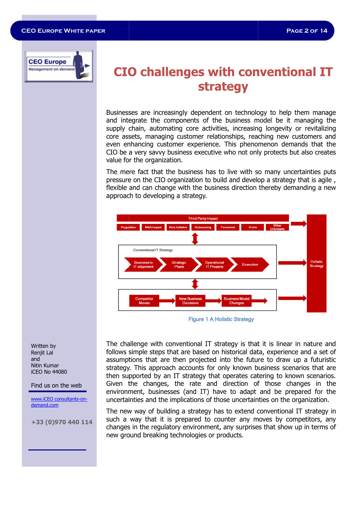

### **CIO challenges with conventional IT strategy**

Businesses are increasingly dependent on technology to help them manage and integrate the components of the business model be it managing the supply chain, automating core activities, increasing longevity or revitalizing core assets, managing customer relationships, reaching new customers and even enhancing customer experience. This phenomenon demands that the CIO be a very savvy business executive who not only protects but also creates value for the organization. usinesses are increasingly dependent on technology to help them manage<br>nd integrate the components of the business model be it managing the<br>upply chain, automating core activities, increasing longevity or revitalizing<br>ore

The mere fact that the business has to live with so many uncertainties puts pressure on the CIO organization to build and develop a strategy that is agile , flexible and can change with the business direction thereby demanding a new approach to developing a strategy.



Figure 1 A Holistic Strategy

The challenge with conventional IT strategy is that it is linear in nature and follows simple steps that are based on historical data, experience and a set of assumptions that are then projected into the future to draw up a futuristic strategy. This approach accounts for only known business scenarios that are then supported by an IT strategy that operates catering to known scenarios. Given the changes, the rate and direction of those changes in the environment, businesses (and IT) have to adapt and be prepared for the uncertainties and the implications of those uncertainties on the organization.

The new way of building a strategy has to extend conventional IT strategy in such a way that it is prepared to counter any moves by competitors, any<br>changes in the regulatory environment, any surprises that show up in terms of changes in the regulatory environment, any surprises that show up in terms of new ground breaking technologies or products.

Written by Renjit Lal and Nitin Kumar iCEO No 44080

#### Find us on the web

www.iCEO consultants-ondemand.com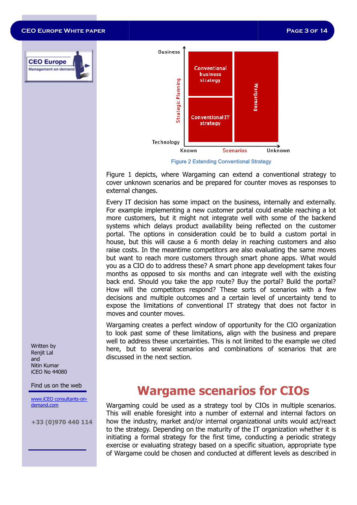**Page 3 of 14**

#### **CEO Europe White paper**





**Figure 2 Extending Conventional Strategy** 

Figure 1 depicts, where Wargaming can extend a conventional strategy to cover unknown scenarios and be prepared for counter moves as responses to external changes. 1 depicts, where Wargaming can extend a conventional strategy to<br>unknown scenarios and be prepared for counter moves as responses to<br>al changes.<br>IT decision has some impact on the business, internally and externally.

Every IT decision has some impact on the business, internally and externally. For example implementing a new customer portal could enable reaching a lot more customers, but it might not integrate well with some of the backend systems which delays product availability being reflected on the customer portal. The options in consideration could be to build a custom portal in house, but this will cause a 6 month delay in reaching customers and also raise costs. In the meantime competitors are also evaluating the same moves but want to reach more customers through smart phone apps. What would you as a CIO do to address these? A smart phone app development takes four months as opposed to six months and can integrate well with the existing back end. Should you take the app route? Buy the portal? Build the portal? you as a CIO do to address these? A smart phone app development takes four months as opposed to six months and can integrate well with the existing back end. Should you take the app route? Buy the portal? Build the portal? decisions and multiple outcomes and a certain level of uncertainty tend to expose the limitations of conventional IT strategy that does not factor in moves and counter moves. ample implementing a new customer portal could enable reaching a lot customers, but it might not integrate well with some of the backend is which delays product availability being reflected on the customer The options in c

Wargaming creates a perfect window of opportunity for the CIO organization to look past some of these limitations, align with the business and prepare well to address these uncertainties. This is not limited to the example we cited here, but to several scenarios and combinations of scenarios that are discussed in the next section. ions and multiple outcomes and a certain level of uncertainty tend to<br>se the limitations of conventional IT strategy that does not factor in<br>es and counter moves.<br>Jaming creates a perfect window of opportunity for the CIO

Written by Renjit Lal and Nitin Kumar iCEO No 44080

Find us on the web

www.iCEO consultants-ondemand.com

**+33 (0)970 440 114**

### **Wargame scenarios for CIOs CIOs**

Wargaming could be used as a strategy tool by CIOs in multiple scenarios. This will enable foresight into a number of external and internal factors on how the industry, market and/or internal organizational units would act/react to the strategy. Depending on the maturity of the IT organization whether it is initiating a formal strategy for the first time, conducting a periodic strategy exercise or evaluating strategy based on a specific situation, appropriate type of Wargame could be chosen and conducted at different levels as described in This will enable foresight into a number of external and internal factors on<br>how the industry, market and/or internal organizational units would act/react<br>to the strategy. Depending on the maturity of the IT organization w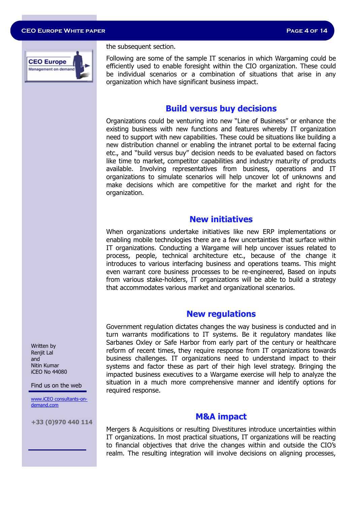

the subsequent section.

Following are some of the sample IT scenarios in which Wargaming could be efficiently used to enable foresight within the CIO organization. These could be individual scenarios or a combination of situations that arise in any organization which have significant business impact.

#### **Build versus buy decisions**

Organizations could be venturing into new "Line of Business" or enhance the existing business with new functions and features whereby IT organization need to support with new capabilities. These could be situations like building a new distribution channel or enabling the intranet portal to be external facing etc., and "build versus buy" decision needs to be evaluated based on factors like time to market, competitor capabilities and industry maturity of products available. Involving representatives from business, operations and IT organizations to simulate scenarios will help uncover lot of unknowns and make decisions which are competitive for the market and right for the organization.

#### **New initiatives**

When organizations undertake initiatives like new ERP implementations or enabling mobile technologies there are a few uncertainties that surface within IT organizations. Conducting a Wargame will help uncover issues related to process, people, technical architecture etc., because of the change it introduces to various interfacing business and operations teams. This might even warrant core business processes to be re-engineered, Based on inputs from various stake-holders, IT organizations will be able to build a strategy that accommodates various market and organizational scenarios.

#### **New regulations**

Government regulation dictates changes the way business is conducted and in turn warrants modifications to IT systems. Be it regulatory mandates like Sarbanes Oxley or Safe Harbor from early part of the century or healthcare reform of recent times, they require response from IT organizations towards business challenges. IT organizations need to understand impact to their systems and factor these as part of their high level strategy. Bringing the impacted business executives to a Wargame exercise will help to analyze the situation in a much more comprehensive manner and identify options for required response.

#### **M&A impact**

Mergers & Acquisitions or resulting Divestitures introduce uncertainties within IT organizations. In most practical situations, IT organizations will be reacting to financial objectives that drive the changes within and outside the CIO's realm. The resulting integration will involve decisions on aligning processes,

Written by Renjit Lal and Nitin Kumar iCEO No 44080

Find us on the web

www.iCEO consultants-ondemand.com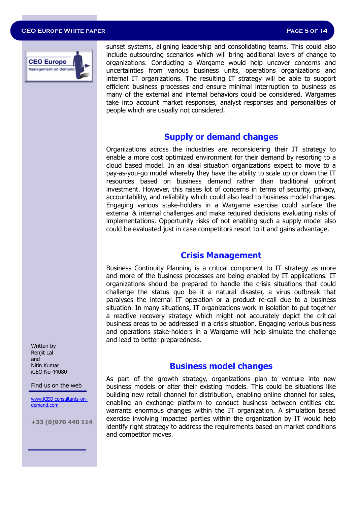#### **CEO Europe White paper Page 5 of 14**



sunset systems, aligning leadership and consolidating teams. This could also include outsourcing scenarios which will bring additional layers of change to organizations. Conducting a Wargame would help uncover concerns and uncertainties from various business units, operations organizations and internal IT organizations. The resulting IT strategy will be able to support efficient business processes and ensure minimal interruption to business as many of the external and internal behaviors could be considered. Wargames take into account market responses, analyst responses and personalities of people which are usually not considered.

#### **Supply or demand changes**

Organizations across the industries are reconsidering their IT strategy to enable a more cost optimized environment for their demand by resorting to a cloud based model. In an ideal situation organizations expect to move to a pay-as-you-go model whereby they have the ability to scale up or down the IT resources based on business demand rather than traditional upfront investment. However, this raises lot of concerns in terms of security, privacy, accountability, and reliability which could also lead to business model changes. Engaging various stake-holders in a Wargame exercise could surface the external & internal challenges and make required decisions evaluating risks of implementations. Opportunity risks of not enabling such a supply model also could be evaluated just in case competitors resort to it and gains advantage.

#### **Crisis Management**

Business Continuity Planning is a critical component to IT strategy as more and more of the business processes are being enabled by IT applications. IT organizations should be prepared to handle the crisis situations that could challenge the status quo be it a natural disaster, a virus outbreak that paralyses the internal IT operation or a product re-call due to a business situation. In many situations, IT organizations work in isolation to put together a reactive recovery strategy which might not accurately depict the critical business areas to be addressed in a crisis situation. Engaging various business and operations stake-holders in a Wargame will help simulate the challenge and lead to better preparedness.

#### **Business model changes**

As part of the growth strategy, organizations plan to venture into new business models or alter their existing models. This could be situations like building new retail channel for distribution, enabling online channel for sales, enabling an exchange platform to conduct business between entities etc. warrants enormous changes within the IT organization. A simulation based exercise involving impacted parties within the organization by IT would help identify right strategy to address the requirements based on market conditions and competitor moves.

Written by Renjit Lal and Nitin Kumar iCEO No 44080

Find us on the web

www.iCEO consultants-ondemand.com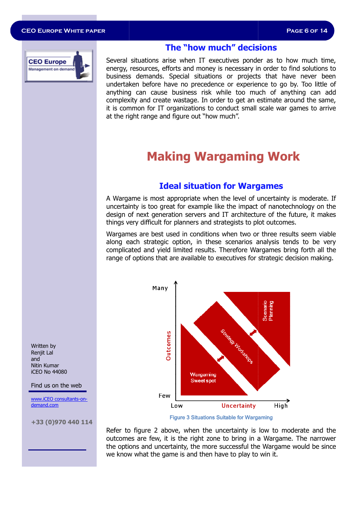

#### **The "how much" decisions The "how decisions**

Several situations arise when IT executives ponder as to how much time, energy, resources, efforts and money is necessary in order to find solutions to business demands. Special situations or projects that have never been undertaken before have no precedence or experience to go by. Too little of anything can cause business risk while too much of anyt complexity and create wastage. In order to get an estimate around the same, complexity and create wastage. In order to get an estimate around the same,<br>it is common for IT organizations to conduct small scale war games to arrive at the right range and figure out "how much". when IT executives ponder as to how much time,<br>ts and money is necessary in order to find solutions to<br>pecial situations or projects that have never been<br>e no precedence or experience to go by. Too little of<br>usiness risk w

## **Making Wargaming W Wargaming Work**

#### **Ideal situation for Wargames rgames**

A Wargame is most appropriate when the level of uncertainty is moderate. If uncertainty is too great for example like the impact of nanotechnology on the design of next generation servers and IT architecture of the future, it makes things very difficult for planners and strategists to plot outcomes. level of uncertainty is moderate. If<br>is too great for example like the impact of nanotechnology on the<br>ext generation servers and IT architecture of the future, it makes<br>difficult for planners and strategists to plot outco

Wargames are best used in conditions when two or three results seem viable along each strategic option, in these scenarios analysis tends to be very complicated and yield limited results. Therefore Wargam range of options that are available to executives for strategic decision making.



Figure 3 Situations Suitable for Wargaming

Refer to figure 2 above, when the uncertainty is low to moderate and the Refer to figure 2 above, when the uncertainty is low to moderate and the<br>outcomes are few, it is the right zone to bring in a Wargame. The narrower the options and uncertainty, the more successful the the Wargame would be since we know what the game is and then have to play to win it.

Written by Renjit Lal and Nitin Kumar iCEO No 44080

Find us on the web

www.iCEO consultants-ondemand.com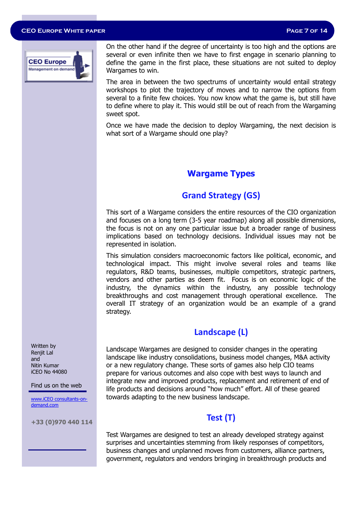#### **CEO Europe White paper Page 7 of 14**



On the other hand if the degree of uncertainty is too high and the options are several or even infinite then we have to first engage in scenario planning to define the game in the first place, these situations are not suited to deploy Wargames to win.

The area in between the two spectrums of uncertainty would entail strategy workshops to plot the trajectory of moves and to narrow the options from several to a finite few choices. You now know what the game is, but still have to define where to play it. This would still be out of reach from the Wargaming sweet spot.

Once we have made the decision to deploy Wargaming, the next decision is what sort of a Wargame should one play?

#### **Wargame Types**

### **Grand Strategy (GS)**

This sort of a Wargame considers the entire resources of the CIO organization and focuses on a long term (3-5 year roadmap) along all possible dimensions, the focus is not on any one particular issue but a broader range of business implications based on technology decisions. Individual issues may not be represented in isolation.

This simulation considers macroeconomic factors like political, economic, and technological impact. This might involve several roles and teams like regulators, R&D teams, businesses, multiple competitors, strategic partners, vendors and other parties as deem fit. Focus is on economic logic of the industry, the dynamics within the industry, any possible technology breakthroughs and cost management through operational excellence. The overall IT strategy of an organization would be an example of a grand strategy.

#### **Landscape (L)**

Landscape Wargames are designed to consider changes in the operating landscape like industry consolidations, business model changes, M&A activity or a new regulatory change. These sorts of games also help CIO teams prepare for various outcomes and also cope with best ways to launch and integrate new and improved products, replacement and retirement of end of life products and decisions around "how much" effort. All of these geared towards adapting to the new business landscape.

#### **Test (T)**

Test Wargames are designed to test an already developed strategy against surprises and uncertainties stemming from likely responses of competitors, business changes and unplanned moves from customers, alliance partners, government, regulators and vendors bringing in breakthrough products and

Written by Renjit Lal and Nitin Kumar iCEO No 44080

Find us on the web

www.iCEO consultants-ondemand.com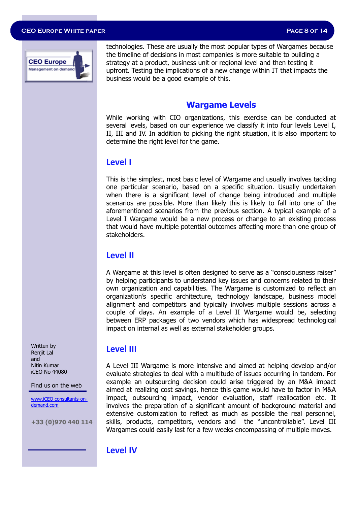#### **CEO Europe White paper Page 8 of 14**



technologies. These are usually the most popular types of Wargames because the timeline of decisions in most companies is more suitable to building a strategy at a product, business unit or regional level and then testing it upfront. Testing the implications of a new change within IT that impacts the business would be a good example of this.

#### **Wargame Levels**

While working with CIO organizations, this exercise can be conducted at several levels, based on our experience we classify it into four levels Level I, II, III and IV. In addition to picking the right situation, it is also important to determine the right level for the game.

#### **Level I**

This is the simplest, most basic level of Wargame and usually involves tackling one particular scenario, based on a specific situation. Usually undertaken when there is a significant level of change being introduced and multiple scenarios are possible. More than likely this is likely to fall into one of the aforementioned scenarios from the previous section. A typical example of a Level I Wargame would be a new process or change to an existing process that would have multiple potential outcomes affecting more than one group of stakeholders.

#### **Level II**

A Wargame at this level is often designed to serve as a "consciousness raiser" by helping participants to understand key issues and concerns related to their own organization and capabilities. The Wargame is customized to reflect an organization's specific architecture, technology landscape, business model alignment and competitors and typically involves multiple sessions across a couple of days. An example of a Level II Wargame would be, selecting between ERP packages of two vendors which has widespread technological impact on internal as well as external stakeholder groups.

Written by Renjit Lal and Nitin Kumar iCEO No 44080

Find us on the web

www.iCEO consultants-ondemand.com

**+33 (0)970 440 114**

#### **Level III**

A Level III Wargame is more intensive and aimed at helping develop and/or evaluate strategies to deal with a multitude of issues occurring in tandem. For example an outsourcing decision could arise triggered by an M&A impact aimed at realizing cost savings, hence this game would have to factor in M&A impact, outsourcing impact, vendor evaluation, staff reallocation etc. It involves the preparation of a significant amount of background material and extensive customization to reflect as much as possible the real personnel, skills, products, competitors, vendors and the "uncontrollable". Level III Wargames could easily last for a few weeks encompassing of multiple moves.

#### **Level IV**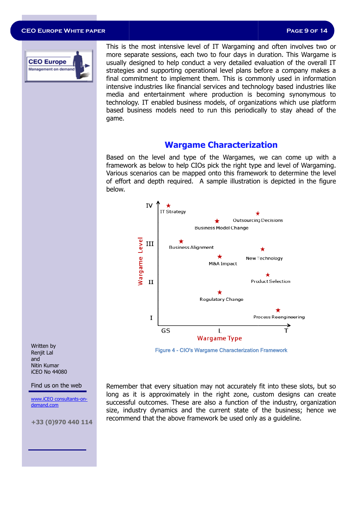#### **CEO Europe White paper**



This is the most intensive level of IT Wargaming and often involves two or more separate sessions, each two to four days in duration. This Wargame is usually designed to help conduct a very detailed evaluation of the overall IT strategies and supporting operational level plans before a company makes a final commitment to implement them. This is commonly used in information intensive industries like financial services and technology based industries like media and entertainment where production is becoming synonymous to technology. IT enabled business models, of organizations which use platform usually designed to help conduct a very detailed evaluation of the overall IT<br>strategies and supporting operational level plans before a company makes a<br>final commitment to implement them. This is commonly used in informat game.

#### **Wargame Characterization Characterization**

Based on the level and type of the Wargames, we can come up with a Based on the level and type of the Wargames, we can come up with a<br>framework as below to help CIOs pick the right type and level of Wargaming. Various scenarios can be mapped onto this framework to determine the level of effort and depth required. A sample illustration is depicted in the figure below.



Figure 4 - CIO's Wargame Characterization Framework

Written by Renjit Lal and Nitin Kumar iCEO No 44080

Find us on the web

www.iCEO consultants-ondemand.com

**+33 (0)970 440 114**

Remember that every situation may not accurately fit into these slots, but so long as it is approximately in the right zone, custom designs can create successful outcomes. These are also a function of the industry, organization size, industry dynamics and the current state of the business; hence we recommend that the above framework be used only as a guideline.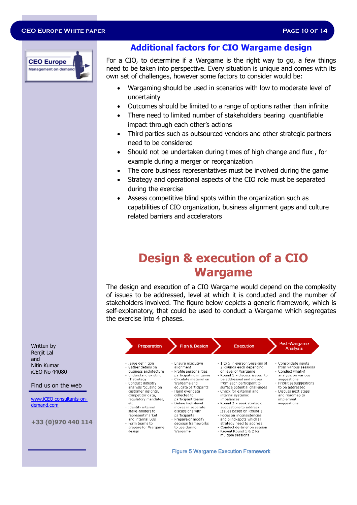#### **CEO Europe White paper**



#### **Additional factors for CIO Wargame design**

For a CIO, to determine if a Wargame is the right way to go, a few things need to be taken into perspective. Every situation is unique and comes with its own set of challenges, however some factors to consider would be: CIO, to determine if a Wargame is the right way to go, a few things<br>to be taken into perspective. Every situation is unique and comes with its<br>set of challenges, however some factors to consider would be:<br>Wargaming should

- Wargaming should be used in scenarios with low to moderate level of unce uncertainty
- Outcomes should be limited to a range of options rather than infinite • Outcomes should be limited to a range of options rather than infinit<br>• There need to limited number of stakeholders bearing quantifiable
- impact through each other's actions
- Third parties such as outsourced vendors and other strategic partners<br>need to be considered<br>• Should not be undertaken during times of high change and flux, for need to be considered
- Should not be undertaken during times of high change and flux, for example during a merger or reorganization
- The core business representatives must be involved during the game
- Strategy and operational aspects of the CIO role must be separated during the exercise
- Assess competitive blind spots within the organization such as capabilities of CIO organization, business alignment gaps and culture gaps related barriers and accelerators

### **Design & execution of a CIO Wargame**

The design and execution of a CIO Wargame would depend on the complexity The design and execution of a CIO Wargame would depend on the complexity<br>of issues to be addressed, level at which it is conducted and the number of stakeholders involved. The figure below depicts a generic framework, which is self-explanatory, that could be used to conduct a Wargame which segregates the exercise into 4 phases.

| Written by<br>Renjit Lal                   | Preparation                                                                                                     | Plan & Design                                                                                                     | Execution                                                                                                                                         | Post-Wargame<br>Analysis                                                                                 |
|--------------------------------------------|-----------------------------------------------------------------------------------------------------------------|-------------------------------------------------------------------------------------------------------------------|---------------------------------------------------------------------------------------------------------------------------------------------------|----------------------------------------------------------------------------------------------------------|
| and<br>Nitin Kumar<br><b>iCEO No 44080</b> | · Issue definition<br>• Gather details on<br>business architecture<br>• Understand existing<br>JT strategy      | · Fnsure executive<br>alignment<br>· Profile personalities<br>participating in game<br>· Circulate material on    | • 1 to 5 in-person Sessions of<br>2 Rounds each depending<br>on level of Wargame<br>. Round 1 - discuss issues to<br>be addressed and moves       | · Consolidate inputs<br>from various sessions<br>• Conduct what-if<br>analysis on various<br>suggestions |
| Find us on the web                         | • Conduct industry<br>analysis focusing on<br>customer insights,                                                | Wargame and<br>educate participants<br>· Hand over data                                                           | from each participant to<br>surface potential challenges<br>. Check for external and                                                              | · Prioritize suggestions<br>to be addressed<br>• Discuss next steps                                      |
| www.iCEO consultants-on-<br>demand.com     | competitor data,<br>regulatory mandates,<br>etc.<br>· Identify internal<br>stake-holders to<br>represent market | collected to<br>participant teams<br>• Define high-level<br>moves in separate<br>discussions with<br>participants | internal systemic<br>imbalances<br>· Round 2 - seek strategic<br>suggestions to address<br>Issues based on Round 1.<br>• Focus on inconsistencies | and roadmap to<br>implement<br>suggestions                                                               |
| +33 (0)970 440 114                         | and internal BUs<br>• Form teams to<br>prepare for Wargame<br>design                                            | • Prepare or modify<br>decision frameworks<br>to use durina<br>Wargame                                            | and blind-spots which IT<br>strategy need to address.<br>· Conduct de-brief on session<br>Repeat Round 1 & 2 for<br>multiple sessions             |                                                                                                          |

#### Figure 5 Wargame Execution Framework Framework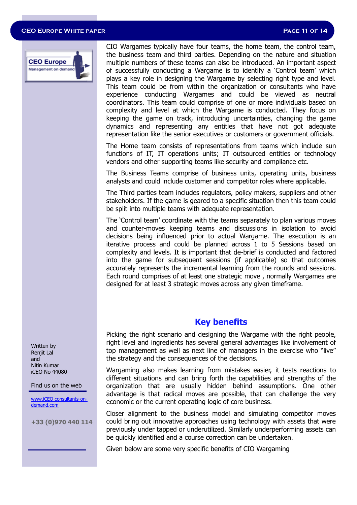#### **CEO Europe White paper Page 11 of 14**



CIO Wargames typically have four teams, the home team, the control team, the business team and third parties. Depending on the nature and situation multiple numbers of these teams can also be introduced. An important aspect of successfully conducting a Wargame is to identify a 'Control team' which plays a key role in designing the Wargame by selecting right type and level. This team could be from within the organization or consultants who have experience conducting Wargames and could be viewed as neutral coordinators. This team could comprise of one or more individuals based on complexity and level at which the Wargame is conducted. They focus on keeping the game on track, introducing uncertainties, changing the game dynamics and representing any entities that have not got adequate representation like the senior executives or customers or government officials.

The Home team consists of representations from teams which include sun functions of IT, IT operations units; IT outsourced entities or technology vendors and other supporting teams like security and compliance etc.

The Business Teams comprise of business units, operating units, business analysts and could include customer and competitor roles where applicable.

The Third parties team includes regulators, policy makers, suppliers and other stakeholders. If the game is geared to a specific situation then this team could be split into multiple teams with adequate representation.

The 'Control team' coordinate with the teams separately to plan various moves and counter-moves keeping teams and discussions in isolation to avoid decisions being influenced prior to actual Wargame. The execution is an iterative process and could be planned across 1 to 5 Sessions based on complexity and levels. It is important that de-brief is conducted and factored into the game for subsequent sessions (if applicable) so that outcomes accurately represents the incremental learning from the rounds and sessions. Each round comprises of at least one strategic move , normally Wargames are designed for at least 3 strategic moves across any given timeframe.

#### **Key benefits**

Picking the right scenario and designing the Wargame with the right people, right level and ingredients has several general advantages like involvement of top management as well as next line of managers in the exercise who "live" the strategy and the consequences of the decisions.

Wargaming also makes learning from mistakes easier, it tests reactions to different situations and can bring forth the capabilities and strengths of the organization that are usually hidden behind assumptions. One other advantage is that radical moves are possible, that can challenge the very economic or the current operating logic of core business.

Closer alignment to the business model and simulating competitor moves could bring out innovative approaches using technology with assets that were previously under tapped or underutilized. Similarly underperforming assets can be quickly identified and a course correction can be undertaken.

Given below are some very specific benefits of CIO Wargaming

Written by Renjit Lal and Nitin Kumar iCEO No 44080

Find us on the web

www.iCEO consultants-ondemand.com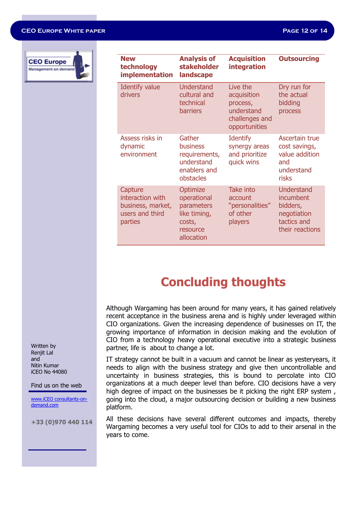#### **CEO Europe White paper Page 12 of 14**



| <b>New</b><br>technology<br>implementation                                     | <b>Analysis of</b><br><b>stakeholder</b><br>landscape                                     | <b>Acquisition</b><br><b>integration</b>                                             | <b>Outsourcing</b>                                                                   |
|--------------------------------------------------------------------------------|-------------------------------------------------------------------------------------------|--------------------------------------------------------------------------------------|--------------------------------------------------------------------------------------|
| Identify value<br>drivers                                                      | Understand<br>cultural and<br>technical<br><b>barriers</b>                                | Live the<br>acquisition<br>process,<br>understand<br>challenges and<br>opportunities | Dry run for<br>the actual<br>bidding<br>process                                      |
| Assess risks in<br>dynamic<br>environment                                      | Gather<br>business<br>requirements,<br>understand<br>enablers and<br>obstacles            | <b>Identify</b><br>synergy areas<br>and prioritize<br>quick wins                     | Ascertain true<br>cost savings,<br>value addition<br>and<br>understand<br>risks      |
| Capture<br>interaction with<br>business, market,<br>users and third<br>parties | Optimize<br>operational<br>parameters<br>like timing,<br>costs,<br>resource<br>allocation | Take into<br>account<br>"personalities"<br>of other<br>players                       | Understand<br>incumbent<br>bidders,<br>negotiation<br>tactics and<br>their reactions |

### **Concluding thoughts**

Although Wargaming has been around for many years, it has gained relatively recent acceptance in the business arena and is highly under leveraged within CIO organizations. Given the increasing dependence of businesses on IT, the growing importance of information in decision making and the evolution of CIO from a technology heavy operational executive into a strategic business partner, life is about to change a lot.

IT strategy cannot be built in a vacuum and cannot be linear as yesteryears, it needs to align with the business strategy and give then uncontrollable and uncertainty in business strategies, this is bound to percolate into CIO organizations at a much deeper level than before. CIO decisions have a very high degree of impact on the businesses be it picking the right ERP system , going into the cloud, a major outsourcing decision or building a new business platform.

All these decisions have several different outcomes and impacts, thereby Wargaming becomes a very useful tool for CIOs to add to their arsenal in the years to come.

Written by Renjit Lal and Nitin Kumar iCEO No 44080

Find us on the web

www.iCEO consultants-ondemand.com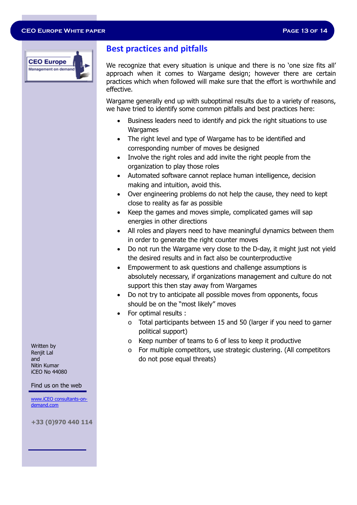

#### **Best practices and pitfalls**

We recognize that every situation is unique and there is no 'one size fits all' approach when it comes to Wargame design; however there are certain practices which when followed will make sure that the effort is worthwhile and effective.

Wargame generally end up with suboptimal results due to a variety of reasons, we have tried to identify some common pitfalls and best practices here:

- Business leaders need to identify and pick the right situations to use Wargames
- The right level and type of Wargame has to be identified and corresponding number of moves be designed
- Involve the right roles and add invite the right people from the organization to play those roles
- Automated software cannot replace human intelligence, decision making and intuition, avoid this.
- Over engineering problems do not help the cause, they need to kept close to reality as far as possible
- Keep the games and moves simple, complicated games will sap energies in other directions
- All roles and players need to have meaningful dynamics between them in order to generate the right counter moves
- Do not run the Wargame very close to the D-day, it might just not yield the desired results and in fact also be counterproductive
- Empowerment to ask questions and challenge assumptions is absolutely necessary, if organizations management and culture do not support this then stay away from Wargames
- Do not try to anticipate all possible moves from opponents, focus should be on the "most likely" moves
- For optimal results :
	- o Total participants between 15 and 50 (larger if you need to garner political support)
	- o Keep number of teams to 6 of less to keep it productive
	- o For multiple competitors, use strategic clustering. (All competitors do not pose equal threats)

Written by Renjit Lal and Nitin Kumar iCEO No 44080

#### Find us on the web

www.iCEO consultants-ondemand.com